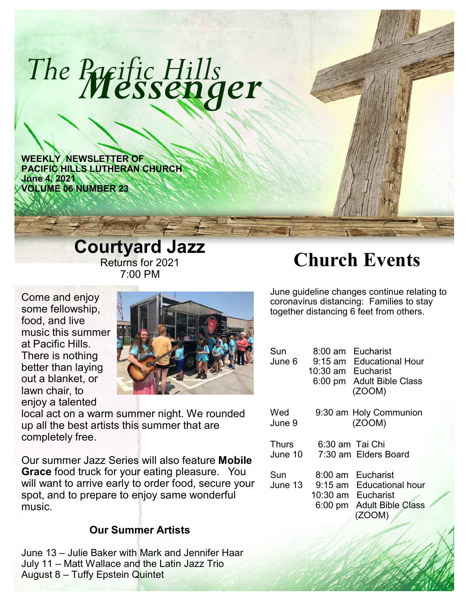# *Messenger The Pacific Hills*

**WEEKLY NEWSLETTER OF PACIFIC HILLS LUTHERAN CHURCH June 4, 2021 VOLUME 06 NUMBER 23**

## **Courtyard Jazz**  Returns for 2021 7:00 PM

Come and enjoy some fellowship, food, and live music this summer at Pacific Hills. There is nothing better than laying out a blanket, or lawn chair, to enjoy a talented



local act on a warm summer night. We rounded up all the best artists this summer that are completely free.

Our summer Jazz Series will also feature **Mobile Grace** food truck for your eating pleasure. You will want to arrive early to order food, secure your spot, and to prepare to enjoy same wonderful music.

## **Our Summer Artists**

June 13 – Julie Baker with Mark and Jennifer Haar July 11 – Matt Wallace and the Latin Jazz Trio August 8 – Tuffy Epstein Quintet

# **Church Events**

June guideline changes continue relating to coronavirus distancing: Families to stay together distancing 6 feet from others.

| Sun<br>June 6  | Eucharist<br>8:00 am.<br>9:15 am Educational Hour<br>10:30 am Eucharist<br>$6:00 \text{ pm}$<br><b>Adult Bible Class</b><br>(ZOOM)            |
|----------------|-----------------------------------------------------------------------------------------------------------------------------------------------|
| Wed            | 9:30 am Holy Communion                                                                                                                        |
| June 9         | (ZOOM)                                                                                                                                        |
| Thurs          | 6:30 am Tai Chi                                                                                                                               |
| June 10        | 7:30 am Elders Board                                                                                                                          |
| Sun<br>June 13 | Eucharist<br>$8:00 \text{ am}$<br>$9:15$ am<br><b>Educational hour</b><br>10:30 am Eucharist<br><b>Adult Bible Class</b><br>6:00 pm<br>(ZOOM) |